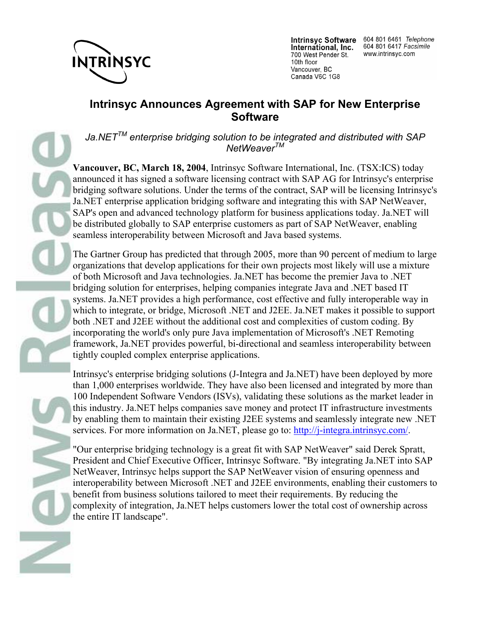

**Intrinsyc Software** International, Inc. 700 West Pender St. 10th floor Vancouver, BC Canada V6C 1G8

604 801 6461 Telephone 604 801 6417 Facsimile www.intrinsyc.com

## **Intrinsyc Announces Agreement with SAP for New Enterprise Software**

*Ja.NETTM enterprise bridging solution to be integrated and distributed with SAP NetWeaverTM*

**Vancouver, BC, March 18, 2004**, Intrinsyc Software International, Inc. (TSX:ICS) today announced it has signed a software licensing contract with SAP AG for Intrinsyc's enterprise bridging software solutions. Under the terms of the contract, SAP will be licensing Intrinsyc's Ja.NET enterprise application bridging software and integrating this with SAP NetWeaver, SAP's open and advanced technology platform for business applications today. Ja.NET will be distributed globally to SAP enterprise customers as part of SAP NetWeaver, enabling seamless interoperability between Microsoft and Java based systems.

The Gartner Group has predicted that through 2005, more than 90 percent of medium to large organizations that develop applications for their own projects most likely will use a mixture of both Microsoft and Java technologies. Ja.NET has become the premier Java to .NET bridging solution for enterprises, helping companies integrate Java and .NET based IT systems. Ja.NET provides a high performance, cost effective and fully interoperable way in which to integrate, or bridge, Microsoft .NET and J2EE. Ja.NET makes it possible to support both .NET and J2EE without the additional cost and complexities of custom coding. By incorporating the world's only pure Java implementation of Microsoft's .NET Remoting framework, Ja.NET provides powerful, bi-directional and seamless interoperability between tightly coupled complex enterprise applications.

Intrinsyc's enterprise bridging solutions (J-Integra and Ja.NET) have been deployed by more than 1,000 enterprises worldwide. They have also been licensed and integrated by more than 100 Independent Software Vendors (ISVs), validating these solutions as the market leader in this industry. Ja.NET helps companies save money and protect IT infrastructure investments by enabling them to maintain their existing J2EE systems and seamlessly integrate new .NET services. For more information on Ja.NET, please go to: http://j-integra.intrinsyc.com/.

"Our enterprise bridging technology is a great fit with SAP NetWeaver" said Derek Spratt, President and Chief Executive Officer, Intrinsyc Software. "By integrating Ja.NET into SAP NetWeaver, Intrinsyc helps support the SAP NetWeaver vision of ensuring openness and interoperability between Microsoft .NET and J2EE environments, enabling their customers to benefit from business solutions tailored to meet their requirements. By reducing the complexity of integration, Ja.NET helps customers lower the total cost of ownership across the entire IT landscape".